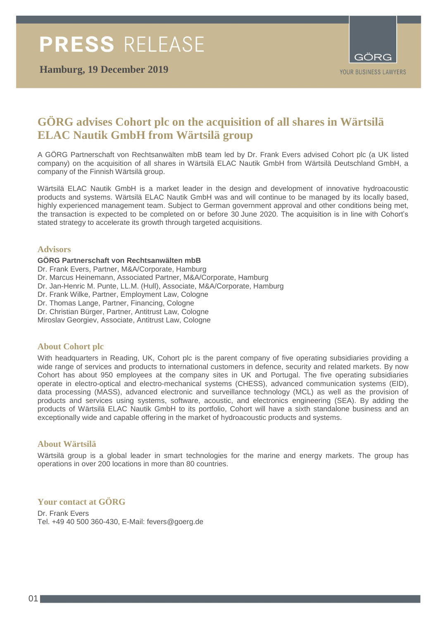**Hamburg, 19 December 2019**



# **GÖRG advises Cohort plc on the acquisition of all shares in Wärtsilä ELAC Nautik GmbH from Wärtsilä group**

A GÖRG Partnerschaft von Rechtsanwälten mbB team led by Dr. Frank Evers advised Cohort plc (a UK listed company) on the acquisition of all shares in Wärtsilä ELAC Nautik GmbH from Wärtsilä Deutschland GmbH, a company of the Finnish Wärtsilä group.

Wärtsilä ELAC Nautik GmbH is a market leader in the design and development of innovative hydroacoustic products and systems. Wärtsilä ELAC Nautik GmbH was and will continue to be managed by its locally based, highly experienced management team. Subject to German government approval and other conditions being met, the transaction is expected to be completed on or before 30 June 2020. The acquisition is in line with Cohort's stated strategy to accelerate its growth through targeted acquisitions.

### **Advisors**

### **GÖRG Partnerschaft von Rechtsanwälten mbB**

- Dr. Frank Evers, Partner, M&A/Corporate, Hamburg
- Dr. Marcus Heinemann, Associated Partner, M&A/Corporate, Hamburg
- Dr. Jan-Henric M. Punte, LL.M. (Hull), Associate, M&A/Corporate, Hamburg
- Dr. Frank Wilke, Partner, Employment Law, Cologne
- Dr. Thomas Lange, Partner, Financing, Cologne
- Dr. Christian Bürger, Partner, Antitrust Law, Cologne
- Miroslav Georgiev, Associate, Antitrust Law, Cologne

### **About Cohort plc**

With headquarters in Reading, UK, Cohort plc is the parent company of five operating subsidiaries providing a wide range of services and products to international customers in defence, security and related markets. By now Cohort has about 950 employees at the company sites in UK and Portugal. The five operating subsidiaries operate in electro-optical and electro-mechanical systems (CHESS), advanced communication systems (EID), data processing (MASS), advanced electronic and surveillance technology (MCL) as well as the provision of products and services using systems, software, acoustic, and electronics engineering (SEA). By adding the products of Wärtsilä ELAC Nautik GmbH to its portfolio, Cohort will have a sixth standalone business and an exceptionally wide and capable offering in the market of hydroacoustic products and systems.

### **About Wärtsilä**

Wärtsilä group is a global leader in smart technologies for the marine and energy markets. The group has operations in over 200 locations in more than 80 countries.

# **Your contact at GÖRG**

Dr. Frank Evers Tel. +49 40 500 360-430, E-Mail: fevers@goerg.de